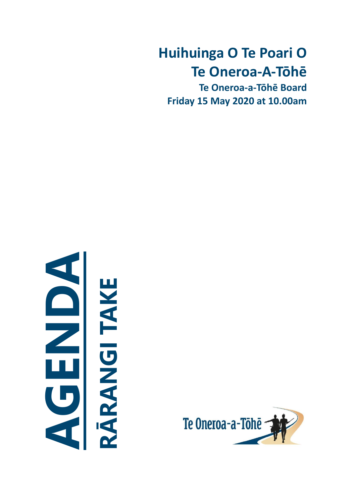# **Huihuinga O Te Poari O Te Oneroa-A-Tōhē**

**Te Oneroa-a-Tōhē Board Friday 15 May 2020 at 10.00am**



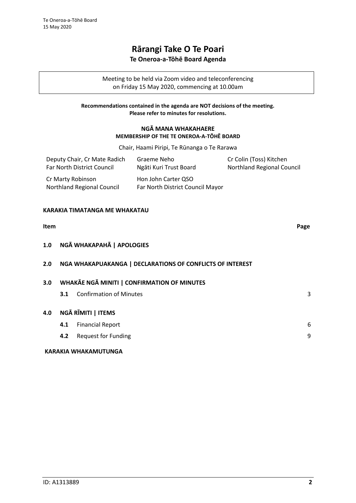# **Rārangi Take O Te Poari**

# **Te Oneroa-a-Tōhē Board Agenda**

Meeting to be held via Zoom video and teleconferencing on Friday 15 May 2020, commencing at 10.00am

## **Recommendations contained in the agenda are NOT decisions of the meeting. Please refer to minutes for resolutions.**

# **NGĀ MANA WHAKAHAERE MEMBERSHIP OF THE TE ONEROA-A-TŌHĒ BOARD**

Chair, Haami Piripi, Te Rūnanga o Te Rarawa

| Deputy Chair, Cr Mate Radich                    | Graeme Neho                                             | Cr Colin (Toss) Kitchen           |
|-------------------------------------------------|---------------------------------------------------------|-----------------------------------|
| Far North District Council                      | Ngāti Kuri Trust Board                                  | <b>Northland Regional Council</b> |
| Cr Marty Robinson<br>Northland Regional Council | Hon John Carter QSO<br>Far North District Council Mayor |                                   |

# **KARAKIA TIMATANGA ME WHAKATAU**

| <b>Item</b> |     |                                                           | Page |
|-------------|-----|-----------------------------------------------------------|------|
| 1.0         |     | NGĀ WHAKAPAHĀ   APOLOGIES                                 |      |
| 2.0         |     | NGA WHAKAPUAKANGA   DECLARATIONS OF CONFLICTS OF INTEREST |      |
| 3.0         |     | <b>WHAKAE NGA MINITI   CONFIRMATION OF MINUTES</b>        |      |
|             | 3.1 | <b>Confirmation of Minutes</b>                            | 3    |
| 4.0         |     | NGĀ RĪMITI   ITEMS                                        |      |
|             | 4.1 | <b>Financial Report</b>                                   | 6    |
|             | 4.2 | <b>Request for Funding</b>                                | 9    |
|             |     | KARAKIA WHAKAMUTUNGA                                      |      |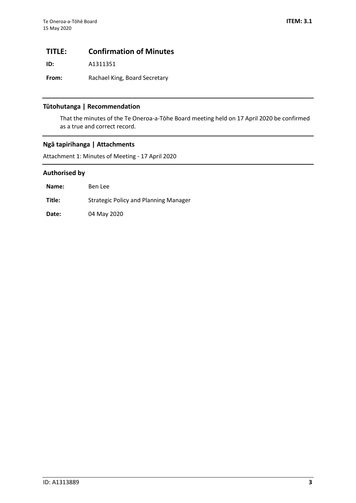# <span id="page-2-0"></span>**TITLE: Confirmation of Minutes**

**ID:** A1311351

**From:** Rachael King, Board Secretary

# **Tūtohutanga | Recommendation**

That the minutes of the Te Oneroa-a-Tōhe Board meeting held on 17 April 2020 be confirmed as a true and correct record.

# **Ngā tapirihanga | Attachments**

Attachment 1: Minutes of Meeting - 17 April 2020

# **Authorised by**

| Name:  | Ben Lee                               |
|--------|---------------------------------------|
| Title: | Strategic Policy and Planning Manager |
| Date:  | 04 May 2020                           |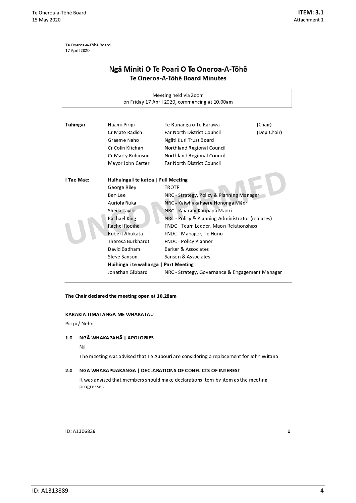Te Oneroa-a-Tōhē Board 17 April 2020

# Ngā Miniti O Te Poari O Te Oneroa-A-Tōhē Te Oneroa-A-Tōhē Board Minutes

| Meeting held via Zoom<br>on Friday 17 April 2020, commencing at 10.00am |                                      |                                                 |             |  |  |  |  |  |
|-------------------------------------------------------------------------|--------------------------------------|-------------------------------------------------|-------------|--|--|--|--|--|
|                                                                         |                                      |                                                 |             |  |  |  |  |  |
| Tuhinga:                                                                | Haami Piripi                         | Te Rūnanga o Te Rarawa                          | (Chair)     |  |  |  |  |  |
|                                                                         | Cr Mate Radich                       | <b>Far North District Council</b>               | (Dep Chair) |  |  |  |  |  |
|                                                                         | Graeme Neho                          | Ngāti Kuri Trust Board                          |             |  |  |  |  |  |
|                                                                         | Cr Colin Kitchen                     | <b>Northland Regional Council</b>               |             |  |  |  |  |  |
|                                                                         | Cr Marty Robinson                    | <b>Northland Regional Council</b>               |             |  |  |  |  |  |
|                                                                         | Mayor John Carter                    | <b>Far North District Council</b>               |             |  |  |  |  |  |
|                                                                         |                                      |                                                 |             |  |  |  |  |  |
| I Tae Mae:                                                              | Huihuinga I te katoa   Full Meeting  |                                                 |             |  |  |  |  |  |
|                                                                         | George Riley                         | <b>TROTR</b>                                    |             |  |  |  |  |  |
|                                                                         | Ben Lee                              | NRC - Strategy, Policy & Planning Manager       |             |  |  |  |  |  |
|                                                                         | Auriole Ruka                         | NRC - Kaiwhakahaere Hononga Māori               |             |  |  |  |  |  |
|                                                                         | Sheila Taylor                        | NRC - Kaiārahi Kaupapa Māori                    |             |  |  |  |  |  |
|                                                                         | <b>Rachael King</b>                  | NRC - Policy & Planning Administrator (minutes) |             |  |  |  |  |  |
|                                                                         | Rachel Ropiha                        | FNDC - Team Leader, Māori Relationships         |             |  |  |  |  |  |
|                                                                         | Robert Ahukata                       | FNDC - Manager, Te Hono                         |             |  |  |  |  |  |
|                                                                         | Theresa Burkhardt                    | <b>FNDC - Policy Planner</b>                    |             |  |  |  |  |  |
|                                                                         | David Badham                         | Barker & Associates                             |             |  |  |  |  |  |
|                                                                         | Steve Sanson                         | Sanson & Associates                             |             |  |  |  |  |  |
|                                                                         | Huihinga i te wahanga   Part Meeting |                                                 |             |  |  |  |  |  |
|                                                                         | Jonathan Gibbard                     | NRC - Strategy, Governance & Engagement Manager |             |  |  |  |  |  |

### The Chair declared the meeting open at 10.28am

#### KARAKIA TIMATANGA ME WHAKATAU

Piripi / Neho

### 1.0 NGĀ WHAKAPAHĀ | APOLOGIES

#### Nil

The meeting was advised that Te Aupouri are considering a replacement for John Witana

#### NGA WHAKAPUAKANGA | DECLARATIONS OF CONFLICTS OF INTEREST  $2.0$

It was advised that members should make declarations item-by-item as the meeting progressed.

ID: A1306826

 $\mathbf 1$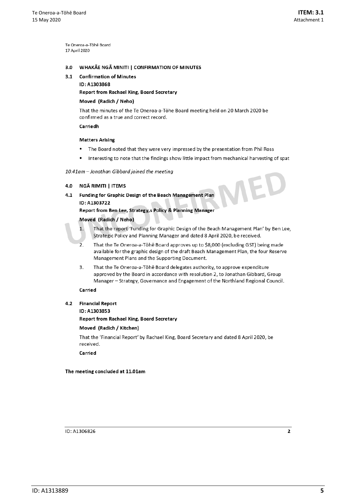Te Oneroa-a-Töhe Board 17 April 2020

#### WHAKĀE NGĀ MINITI | CONFIRMATION OF MINUTES  $3.0$

#### 3.1 Confirmation of Minutes

ID: A1303868

Report from Rachael King, Board Secretary

## Moved (Radich / Neho)

That the minutes of the Te Oneroa-a-Tōhe Board meeting held on 20 March 2020 be confirmed as a true and correct record.

Carriedh

#### **Matters Arising**

- The Board noted that they were very impressed by the presentation from Phil Ross  $\bullet$
- Interesting to note that the findings show little impact from mechanical harvesting of spat

#### 10.41am - Jonathan Gibbard joined the meeting

#### 4.0 NGĀ RIMITI | ITEMS

4.1 Funding for Graphic Design of the Beach Management Plan ID: A1303722

Report from Ben Lee, Strategy, s Policy & Planning Manager

#### Moved (Radich / Neho)

That the report 'Funding for Graphic Design of the Beach Management Plan' by Ben Lee, Strategic Policy and Planning Manager and dated 8 April 2020, be received.

- $\overline{2}$ . That the Te Oneroa-a-Tōhē Board approves up to \$8,000 (excluding GST) being made available for the graphic design of the draft Beach Management Plan, the four Reserve Management Plans and the Supporting Document.
- That the Te Oneroa-a-Tōhē Board delegates authority, to approve expenditure  $\overline{3}$ . approved by the Board in accordance with resolution 2, to Jonathan Gibbard, Group Manager - Strategy, Governance and Engagement of the Northland Regional Council.

#### Carried

 $\mathbf{1}$ 

4.2 Financial Report

#### ID: A1303853

**Report from Rachael King, Board Secretary** 

#### Moved (Radich / Kitchen)

That the 'Financial Report' by Rachael King, Board Secretary and dated 8 April 2020, be received.

Carried

The meeting concluded at 11.01am

ID: A1306826

 $\overline{2}$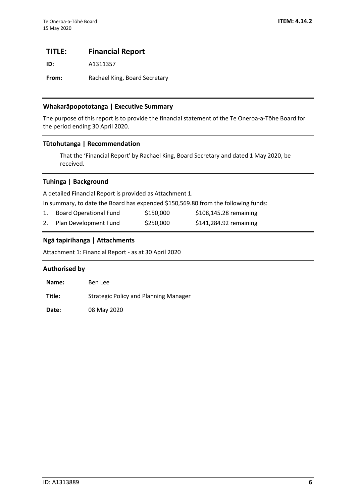# <span id="page-5-0"></span>**TITLE: Financial Report**

**ID:** A1311357

From: Rachael King, Board Secretary

# **Whakarāpopototanga | Executive Summary**

The purpose of this report is to provide the financial statement of the Te Oneroa-a-Tōhe Board for the period ending 30 April 2020.

# **Tūtohutanga | Recommendation**

That the 'Financial Report' by Rachael King, Board Secretary and dated 1 May 2020, be received.

# **Tuhinga | Background**

A detailed Financial Report is provided as Attachment 1.

In summary, to date the Board has expended \$150,569.80 from the following funds:

| Board Operational Fund   | \$150,000 | $$108,145.28$ remaining |
|--------------------------|-----------|-------------------------|
| 2. Plan Development Fund | \$250,000 | \$141,284.92 remaining  |

# **Ngā tapirihanga | Attachments**

Attachment 1: Financial Report - as at 30 April 2020

# **Authorised by**

| Name:  | Ben Lee                                      |
|--------|----------------------------------------------|
| Title: | <b>Strategic Policy and Planning Manager</b> |
|        |                                              |

**Date:** 08 May 2020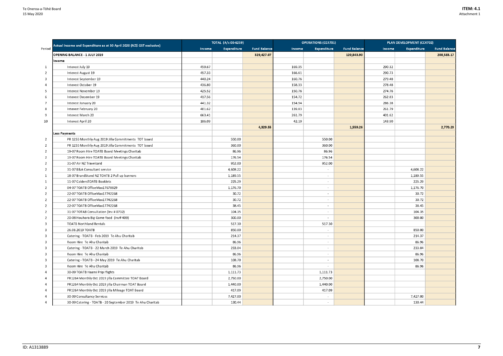|                |                                                                        | <b>TOTAL (A/c 00-6259)</b> |                    | <b>OPERATIONS (CC4701)</b> |        |                          | PLAN DEVELOPMENT (CC4702) |        |                    |                     |
|----------------|------------------------------------------------------------------------|----------------------------|--------------------|----------------------------|--------|--------------------------|---------------------------|--------|--------------------|---------------------|
| Period         | Actual Income and Expenditure as at 30 April 2020 (NZ\$ GST exclusive) | Income                     | <b>Expenditure</b> | <b>Fund Balance</b>        | Income | Expenditure              | <b>Fund Balance</b>       | Income | <b>Expenditure</b> | <b>Fund Balance</b> |
|                | <b>OPENING BALANCE - 1 JULY 2019</b>                                   |                            |                    | 329,427.07                 |        |                          | 120,843.90                |        |                    | 208,583.17          |
|                | Income                                                                 |                            |                    |                            |        |                          |                           |        |                    |                     |
| -1             | Interest July 19                                                       | 459.67                     |                    |                            | 169.35 |                          |                           | 290.32 |                    |                     |
| $\overline{2}$ | Interest August 19                                                     | 457.33                     |                    |                            | 166.61 |                          |                           | 290.73 |                    |                     |
| 3              | Interest September 19                                                  | 440.24                     |                    |                            | 160.76 |                          |                           | 279.48 |                    |                     |
| 4              | Interest October 19                                                    | 436.80                     |                    |                            | 158.33 |                          |                           | 278.48 |                    |                     |
| 5              | Interest November 19                                                   | 425.52                     |                    |                            | 150.76 |                          |                           | 274.76 |                    |                     |
| 6              | Interest December 19                                                   | 417.56                     |                    |                            | 154.72 |                          |                           | 262.83 |                    |                     |
|                | Interest January 20                                                    | 441.32                     |                    |                            | 154.94 |                          |                           | 286.38 |                    |                     |
| 8              | Interest February 20                                                   | 401.62                     |                    |                            | 139.83 |                          |                           | 261.79 |                    |                     |
| 9              | Interest March 20                                                      | 663.41                     |                    |                            | 261.79 |                          |                           | 401.62 |                    |                     |
| 10             | Interest April 20                                                      | 186.09                     |                    |                            | 42.19  |                          |                           | 143.90 |                    |                     |
|                |                                                                        |                            |                    | 4,329.55                   |        |                          | 1,559.26                  |        |                    | 2,770.29            |
|                | <b>Less Payments</b>                                                   |                            |                    |                            |        |                          |                           |        |                    |                     |
| 2              | PR 1255 Monthly Aug 2019 Jilla Commitments TOT board                   |                            | 550.00             |                            |        | 550.00                   |                           |        |                    |                     |
| 2              | PR 1255 Monthly Aug 2019 Jilla Commitments TOT board                   |                            | 360.00             |                            |        | 360.00                   |                           |        |                    |                     |
| $\overline{2}$ | 19-07 Room Hire TOATB Board Meetings Charitab                          |                            | 86.96              |                            |        | 86.96                    |                           |        |                    |                     |
| 2              | 19-07 Room Hire TOATB Board Meetings Charitab                          |                            | 176.54             |                            |        | 176.54                   |                           |        |                    |                     |
| 2              | 31-07 Air NZ Travelcard                                                |                            | 952.00             |                            |        | 952.00                   |                           |        |                    |                     |
| $\overline{2}$ | 31-07 B&A Consultant service                                           |                            | 4,608.22           |                            |        |                          |                           |        | 4,608.22           |                     |
| 1              | 18-07 BrandStand NZ TOATB 2 Pull up banners                            |                            | 1,189.55           |                            |        | $\overline{\phantom{a}}$ |                           |        | 1,189.55           |                     |
|                | 11-07 CaldersTOATB Booklets                                            |                            | 225.29             |                            |        | $\overline{\phantom{a}}$ |                           |        | 225.29             |                     |
| 2              | 04-07 TOATB OfficeMax17678829                                          |                            | 1,176.70           |                            |        |                          |                           |        | 1,176.70           |                     |
| 2              | 22-07 TOATB OfficeMax17742268                                          |                            | 30.72              |                            |        |                          |                           |        | 30.72              |                     |
| 2              | 22-07 TOATB OfficeMax17742268                                          |                            | 30.72              |                            |        | $\overline{\phantom{a}}$ |                           |        | 30.72              |                     |
| 2              | 22-07 TOATB OfficeMax17742268                                          |                            | 38.45              |                            |        | $\overline{\phantom{a}}$ |                           |        | 38.45              |                     |
| 2              | 31-07 TOTAB Consultation (Inv # 0732)                                  |                            | 104.35             |                            |        |                          |                           |        | 104.35             |                     |
|                | 20-08 Houhora Big Game food (Inv# 409)                                 |                            | 300.00             |                            |        |                          |                           |        | 300.00             |                     |
| 3              | <b>TOATB Northland Rentals</b>                                         |                            | 517.30             |                            |        | 517.30                   |                           |        |                    |                     |
| 3              | 26.08.2019 TOATB                                                       |                            | 850.00             |                            |        | $\overline{\phantom{a}}$ |                           |        | 850.00             |                     |
| 3              | Catering - TOATB - Feb 2019 Te Ahu Charitab                            |                            | 214.37             |                            |        | $\overline{\phantom{a}}$ |                           |        | 214.37             |                     |
| 3              | Room Hire Te Ahu Charitab                                              |                            | 86.96              |                            |        | $\overline{\phantom{a}}$ |                           |        | 86.96              |                     |
| 3              | Catering - TOATB - 22 March 2019 Te Ahu Charitab                       |                            | 233.04             |                            |        | $\overline{\phantom{a}}$ |                           |        | 233.04             |                     |
| 3              | Room Hire Te Ahu Charitab                                              |                            | 86.96              |                            |        | $\overline{\phantom{a}}$ |                           |        | 86.96              |                     |
| 3              | Catering - TOATB - 24 May 2019 Te Ahu Charitab                         |                            | 108.70             |                            |        | $\overline{\phantom{a}}$ |                           |        | 108.70             |                     |
| 3              | Room Hire Te Ahu Charitab                                              |                            | 86.96              |                            |        |                          |                           |        | 86.96              |                     |
| 4              | 30-09 TOATB Haami Pripi flights                                        |                            | 1,111.73           |                            |        | 1,111.73                 |                           |        |                    |                     |
| 4              | PR1264 Monthly Oct 2019 jilla Committee TOAT Board                     |                            | 2,750.00           |                            |        | 2,750.00                 |                           |        |                    |                     |
| 4              | PR1264 Monthly Oct 2019 jilla Chairman TOAT Board                      |                            | 1,440.00           |                            |        | 1,440.00                 |                           |        |                    |                     |
| 4              | PR1264 Monthly Oct 2019 jilla Mileage TOAT Board                       |                            | 417.09             |                            |        | 417.09                   |                           |        |                    |                     |
|                | 30-09 Consultancy Services                                             |                            | 7,427.00           |                            |        | $\overline{\phantom{a}}$ |                           |        | 7,427.00           |                     |
|                | 30-09 Catering - TOATB - 20 September 2019 Te Ahu Charitab             |                            | 130.44             |                            |        | $\overline{\phantom{a}}$ |                           |        | 130.44             |                     |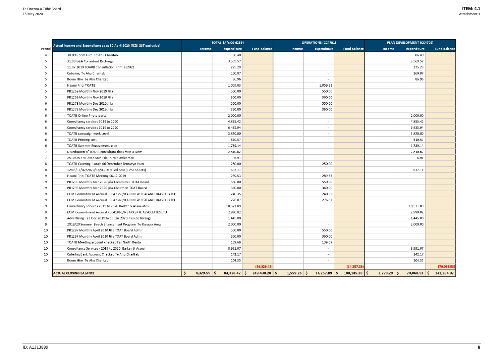|        | Actual Income and Expenditure as at 30 April 2020 (NZ\$ GST exclusive) |                     | TOTAL (A/c 00-6259) |                     | <b>OPERATIONS (CC4701)</b> |                          |                     | PLAN DEVELOPMENT (CC4702) |                    |                     |
|--------|------------------------------------------------------------------------|---------------------|---------------------|---------------------|----------------------------|--------------------------|---------------------|---------------------------|--------------------|---------------------|
| Period |                                                                        | Income              | <b>Expenditure</b>  | <b>Fund Balance</b> | Income                     | <b>Expenditure</b>       | <b>Fund Balance</b> | Income                    | <b>Expenditure</b> | <b>Fund Balance</b> |
| 4      | 30-09 Room Hire Te Ahu Charitab                                        |                     | 86.40               |                     |                            |                          |                     |                           | 86.40              |                     |
| 5      | 31.08 B&A Consutant Recharge                                           |                     | 3,569.57            |                     |                            |                          |                     |                           | 3,569.57           |                     |
| 5      | 11.07.2019 TOARB Consultation Print 282021                             |                     | 225.29              |                     |                            |                          |                     |                           | 225.29             |                     |
| 5      | Catering Te Ahu Charitab                                               |                     | 160.87              |                     |                            |                          |                     |                           | 160.87             |                     |
| 5      | Room Hire Te Ahu Charitab                                              |                     | 86.96               |                     |                            |                          |                     |                           | 86.96              |                     |
| 5      | Haami Pripi TOATB                                                      |                     | 1,059.83            |                     |                            | 1,059.83                 |                     |                           |                    |                     |
| 5      | PR1269 Monthly Nov 2019 Jilla                                          |                     | 550.00              |                     |                            | 550.00                   |                     |                           |                    |                     |
| 5      | PR1269 Monthly Nov 2019 Jilla                                          |                     | 360.00              |                     |                            | 360.00                   |                     |                           |                    |                     |
| 6      | PR1273 Monthly Dec 2019 Jilla                                          |                     | 550.00              |                     |                            | 550.00                   |                     |                           |                    |                     |
| 6      | PR1273 Monthly Dec 2019 Jilla                                          |                     | 360.00              |                     |                            | 360.00                   |                     |                           |                    |                     |
| 6      | TOATB Online Photo portal                                              |                     | 2,000.00            |                     |                            |                          |                     |                           | 2,000.00           |                     |
| 6      | Consultancy services 2019 to 2020                                      |                     | 4,855.42            |                     |                            |                          |                     |                           | 4,855.42           |                     |
| 6      | Consultancy services 2019 to 2020                                      |                     | 6,435.94            |                     |                            | $\overline{\phantom{a}}$ |                     |                           | 6,435.94           |                     |
| 6      | TOATB campaign work Level                                              |                     | 3,820.00            |                     |                            |                          |                     |                           | 3,820.00           |                     |
| 6      | <b>TOATB Printing cost</b>                                             |                     | 510.57              |                     |                            |                          |                     |                           | 510.57             |                     |
| 6      | TOATB Summer Engagement plan                                           |                     | 1,739.14            |                     |                            |                          |                     |                           | 1,739.14           |                     |
|        | Distribution of TOTAB consultant docs Media New                        |                     | 2,810.62            |                     |                            |                          |                     |                           | 2,810.62           |                     |
| 7      | 2510529 FM lever Arch File-Purple officemax                            |                     | 6.91                |                     |                            |                          |                     |                           | 6.91               |                     |
| 8      | TOATB Catering - Lunch 06 December Bronwyn Hunt                        |                     | 250.00              |                     |                            | 250.00                   |                     |                           |                    |                     |
| 8      | 1249 /11/02/2020/18/03 Detailed cost (Time Sheets)                     |                     | 637.11              |                     |                            |                          |                     |                           | 637.11             |                     |
| 9      | Haami Pripi TOATB Meeting 06.12.2019                                   |                     | 289.53              |                     |                            | 289.53                   |                     |                           |                    |                     |
| 9      | PR1293 Monthly Mar 2020 jilla Committee TOAT Board                     |                     | 550.00              |                     |                            | 550.00                   |                     |                           |                    |                     |
| 9      | PR1293 Monthly Mar 2020 jilla Chairman TOAT Board                      |                     | 360.00              |                     |                            | 360.00                   |                     |                           |                    |                     |
| 9      | EOM Commitment Accrual P0047359/0 AIR NEW ZEALAND TRAVELCARD           |                     | 240.35              |                     |                            | 240.35                   |                     |                           |                    |                     |
| 9      | EOM Commitment Accrual P0047360/0 AIR NEW ZEALAND TRAVELCARD           |                     | 276.87              |                     |                            | 276.87                   |                     |                           |                    |                     |
| 9      | Consultancy services 2019 to 2020 Barker & Associates                  |                     | 10,521.89           |                     |                            |                          |                     |                           | 10,521.89          |                     |
| 9      | EOM Commitment Accrual P0041866/6 BARKER & ASSOCIATES LTD              |                     | 2,990.82            |                     |                            |                          |                     |                           | 2,990.82           |                     |
| 9      | Advertising - 23 Dec 2019 to 10 Jan 2020 Te Reo Irirangi               |                     | 1,445.00            |                     |                            |                          |                     |                           | 1,445.00           |                     |
| 9      | 2019/20 Summer Beach Engagement Program Te Rarawa Anga                 |                     | 2,000.00            |                     |                            |                          |                     |                           | 2,000.00           |                     |
| 10     | PR1297 Monthly April 2020 Jilla TOAT Board Admin                       |                     | 550.00              |                     |                            | 550.00                   |                     |                           |                    |                     |
| 10     | PR1297 Monthly April 2020 Jilla TOAT Board Admin                       |                     | 360.00              |                     |                            | 360.00                   |                     |                           |                    |                     |
| 10     | TOATB Meeting account checked Far North Renta                          |                     | 139.69              |                     |                            | 139.69                   |                     |                           |                    |                     |
| 10     | Consultancy Services - 2019 to 2020 Barker & Associ                    |                     | 8,991.07            |                     |                            |                          |                     |                           | 8,991.07           |                     |
| 10     | Catering Bank Account Checked Te Ahu Charitab                          |                     | 142.17              |                     |                            | $\overline{\phantom{a}}$ |                     |                           | 142.17             |                     |
| 10     | Room Hire Te Ahu Charitab                                              |                     | 104.35              |                     |                            | $\overline{\phantom{a}}$ |                     |                           | 104.35             |                     |
|        |                                                                        |                     |                     | (84, 326.42)        |                            |                          | (14, 257.89)        |                           |                    | (70,068.53)         |
|        | <b>ACTUAL CLOSING BALANCE</b>                                          | $4,329.55$ \$<br>\$ | $84,326.42$ \$      | $249,430.20$ \$     | $1,559.26$ \$              | $14,257.89$ \$           | $108, 145.28$ \$    | $2,770.29$ \$             | $70,068.53$ \$     | 141,284.92          |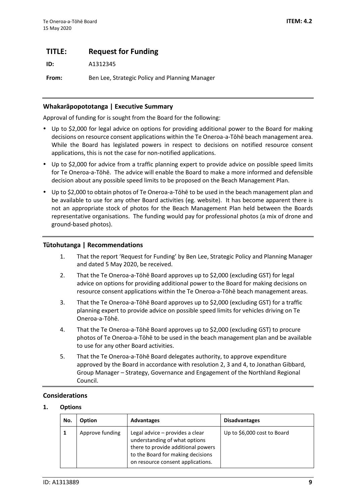# <span id="page-8-0"></span>**TITLE: Request for Funding**

**ID:** A1312345

**From:** Ben Lee, Strategic Policy and Planning Manager

# **Whakarāpopototanga | Executive Summary**

Approval of funding for is sought from the Board for the following:

- Up to \$2,000 for legal advice on options for providing additional power to the Board for making decisions on resource consent applications within the Te Oneroa-a-Tōhē beach management area. While the Board has legislated powers in respect to decisions on notified resource consent applications, this is not the case for non-notified applications.
- Up to \$2,000 for advice from a traffic planning expert to provide advice on possible speed limits for Te Oneroa-a-Tōhē. The advice will enable the Board to make a more informed and defensible decision about any possible speed limits to be proposed on the Beach Management Plan.
- Up to \$2,000 to obtain photos of Te Oneroa-a-Tōhē to be used in the beach management plan and be available to use for any other Board activities (eg. website). It has become apparent there is not an appropriate stock of photos for the Beach Management Plan held between the Boards representative organisations. The funding would pay for professional photos (a mix of drone and ground-based photos).

# **Tūtohutanga | Recommendations**

- 1. That the report 'Request for Funding' by Ben Lee, Strategic Policy and Planning Manager and dated 5 May 2020, be received.
- 2. That the Te Oneroa-a-Tōhē Board approves up to \$2,000 (excluding GST) for legal advice on options for providing additional power to the Board for making decisions on resource consent applications within the Te Oneroa-a-Tōhē beach management areas.
- 3. That the Te Oneroa-a-Tōhē Board approves up to \$2,000 (excluding GST) for a traffic planning expert to provide advice on possible speed limits for vehicles driving on Te Oneroa-a-Tōhē.
- 4. That the Te Oneroa-a-Tōhē Board approves up to \$2,000 (excluding GST) to procure photos of Te Oneroa-a-Tōhē to be used in the beach management plan and be available to use for any other Board activities.
- 5. That the Te Oneroa-a-Tōhē Board delegates authority, to approve expenditure approved by the Board in accordance with resolution 2, 3 and 4, to Jonathan Gibbard, Group Manager – Strategy, Governance and Engagement of the Northland Regional Council.

# **Considerations**

# **1. Options**

| No. | <b>Option</b>   | <b>Advantages</b>                                                                                                                                                                | <b>Disadvantages</b>        |
|-----|-----------------|----------------------------------------------------------------------------------------------------------------------------------------------------------------------------------|-----------------------------|
|     | Approve funding | Legal advice – provides a clear<br>understanding of what options<br>there to provide additional powers<br>to the Board for making decisions<br>on resource consent applications. | Up to \$6,000 cost to Board |